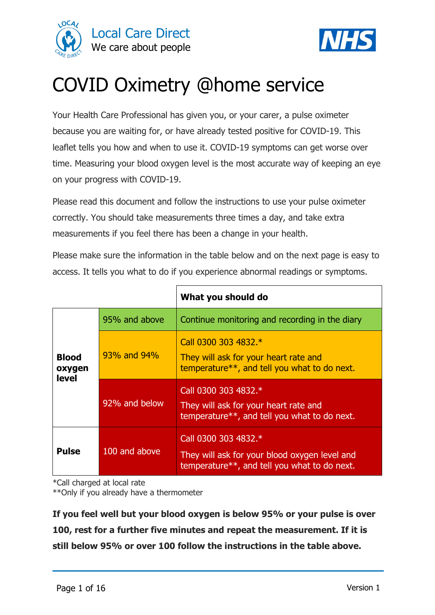



# COVID Oximetry @home service

Your Health Care Professional has given you, or your carer, a pulse oximeter because you are waiting for, or have already tested positive for COVID-19. This leaflet tells you how and when to use it. COVID-19 symptoms can get worse over time. Measuring your blood oxygen level is the most accurate way of keeping an eye on your progress with COVID-19.

Please read this document and follow the instructions to use your pulse oximeter correctly. You should take measurements three times a day, and take extra measurements if you feel there has been a change in your health.

Please make sure the information in the table below and on the next page is easy to access. It tells you what to do if you experience abnormal readings or symptoms.

|                                        |               | What you should do                                                                                                    |  |  |  |
|----------------------------------------|---------------|-----------------------------------------------------------------------------------------------------------------------|--|--|--|
|                                        | 95% and above | Continue monitoring and recording in the diary                                                                        |  |  |  |
| <b>Blood</b><br>oxygen<br><b>level</b> | 93% and 94%   | Call 0300 303 4832.*<br>They will ask for your heart rate and<br>temperature**, and tell you what to do next.         |  |  |  |
|                                        | 92% and below | Call 0300 303 4832.*<br>They will ask for your heart rate and<br>temperature**, and tell you what to do next.         |  |  |  |
| <b>Pulse</b>                           | 100 and above | Call 0300 303 4832.*<br>They will ask for your blood oxygen level and<br>temperature**, and tell you what to do next. |  |  |  |

\*Call charged at local rate

\*\*Only if you already have a thermometer

**If you feel well but your blood oxygen is below 95% or your pulse is over 100, rest for a further five minutes and repeat the measurement. If it is still below 95% or over 100 follow the instructions in the table above.**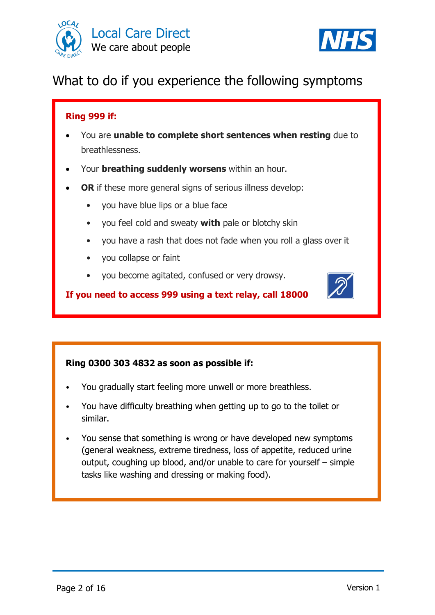



# What to do if you experience the following symptoms

#### **Ring 999 if:**

- You are **unable to complete short sentences when resting** due to breathlessness.
- Your **breathing suddenly worsens** within an hour.
- **OR** if these more general signs of serious illness develop:
	- you have blue lips or a blue face
	- you feel cold and sweaty **with** pale or blotchy skin
	- you have a rash that does not fade when you roll a glass over it
	- you collapse or faint
	- you become agitated, confused or very drowsy.

**If you need to access 999 using a text relay, call 18000** 

#### **Ring 0300 303 4832 as soon as possible if:**

- You gradually start feeling more unwell or more breathless.
- You have difficulty breathing when getting up to go to the toilet or similar.
- You sense that something is wrong or have developed new symptoms (general weakness, extreme tiredness, loss of appetite, reduced urine output, coughing up blood, and/or unable to care for yourself – simple tasks like washing and dressing or making food).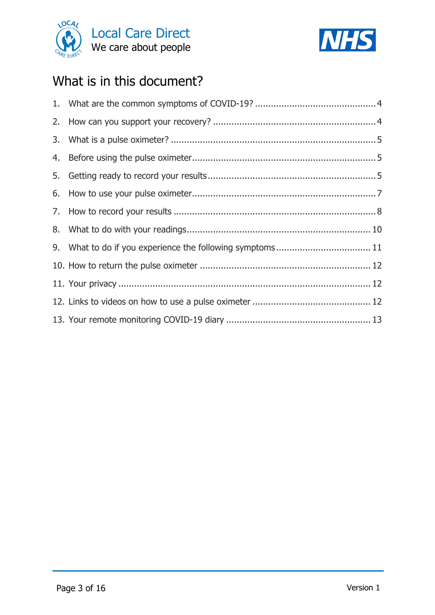



# What is in this document?

| 9. What to do if you experience the following symptoms 11 |  |
|-----------------------------------------------------------|--|
|                                                           |  |
|                                                           |  |
|                                                           |  |
|                                                           |  |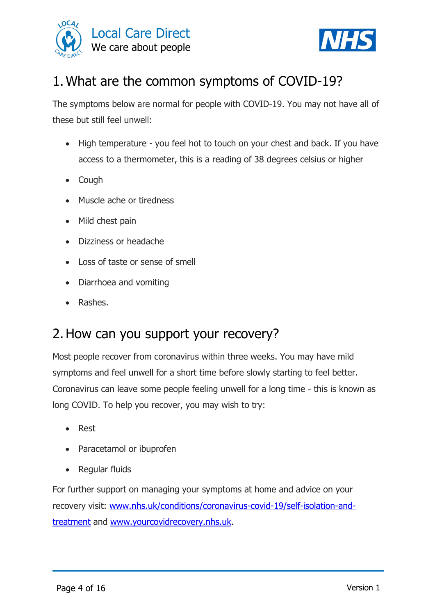



# <span id="page-3-0"></span>1.What are the common symptoms of COVID-19?

The symptoms below are normal for people with COVID-19. You may not have all of these but still feel unwell:

- High temperature you feel hot to touch on your chest and back. If you have access to a thermometer, this is a reading of 38 degrees celsius or higher
- Cough
- Muscle ache or tiredness
- Mild chest pain
- Dizziness or headache
- Loss of taste or sense of smell
- Diarrhoea and vomiting
- Rashes.

# <span id="page-3-1"></span>2.How can you support your recovery?

Most people recover from coronavirus within three weeks. You may have mild symptoms and feel unwell for a short time before slowly starting to feel better. Coronavirus can leave some people feeling unwell for a long time - this is known as long COVID. To help you recover, you may wish to try:

- Rest
- Paracetamol or ibuprofen
- Regular fluids

For further support on managing your symptoms at home and advice on your recovery visit: [www.nhs.uk/conditions/coronavirus-covid-19/self-isolation-and](http://www.nhs.uk/conditions/coronavirus-covid-19/self-isolation-and-treatment)[treatment](http://www.nhs.uk/conditions/coronavirus-covid-19/self-isolation-and-treatment) and [www.yourcovidrecovery.nhs.uk.](http://www.yourcovidrecovery.nhs.uk/)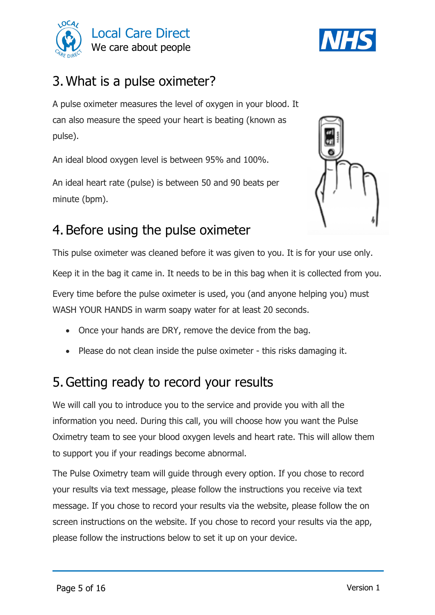



# <span id="page-4-0"></span>3.What is a pulse oximeter?

A pulse oximeter measures the level of oxygen in your blood. It can also measure the speed your heart is beating (known as pulse).

An ideal blood oxygen level is between 95% and 100%.

An ideal heart rate (pulse) is between 50 and 90 beats per minute (bpm).



# <span id="page-4-1"></span>4. Before using the pulse oximeter

This pulse oximeter was cleaned before it was given to you. It is for your use only.

Keep it in the bag it came in. It needs to be in this bag when it is collected from you.

Every time before the pulse oximeter is used, you (and anyone helping you) must WASH YOUR HANDS in warm soapy water for at least 20 seconds.

- Once your hands are DRY, remove the device from the bag.
- Please do not clean inside the pulse oximeter this risks damaging it.

# <span id="page-4-2"></span>5.Getting ready to record your results

We will call you to introduce you to the service and provide you with all the information you need. During this call, you will choose how you want the Pulse Oximetry team to see your blood oxygen levels and heart rate. This will allow them to support you if your readings become abnormal.

The Pulse Oximetry team will guide through every option. If you chose to record your results via text message, please follow the instructions you receive via text message. If you chose to record your results via the website, please follow the on screen instructions on the website. If you chose to record your results via the app, please follow the instructions below to set it up on your device.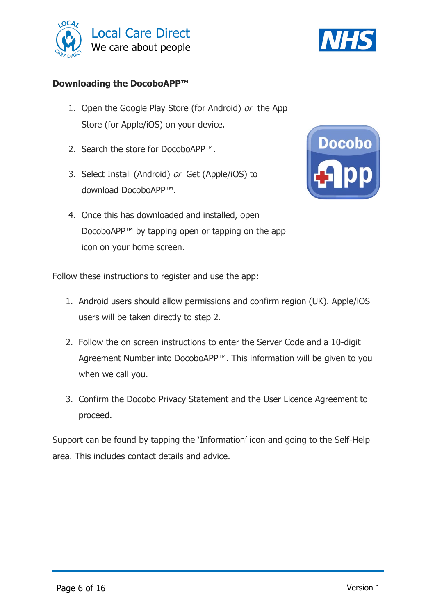



#### **Downloading the DocoboAPP™**

- 1. Open the Google Play Store (for Android) or the App Store (for Apple/iOS) on your device.
- 2. Search the store for DocoboAPP™.
- 3. Select Install (Android) or Get (Apple/iOS) to download DocoboAPP™.
- 4. Once this has downloaded and installed, open DocoboAPP™ by tapping open or tapping on the app icon on your home screen.



Follow these instructions to register and use the app:

- 1. Android users should allow permissions and confirm region (UK). Apple/iOS users will be taken directly to step 2.
- 2. Follow the on screen instructions to enter the Server Code and a 10-digit Agreement Number into DocoboAPP™. This information will be given to you when we call you.
- 3. Confirm the Docobo Privacy Statement and the User Licence Agreement to proceed.

Support can be found by tapping the 'Information' icon and going to the Self-Help area. This includes contact details and advice.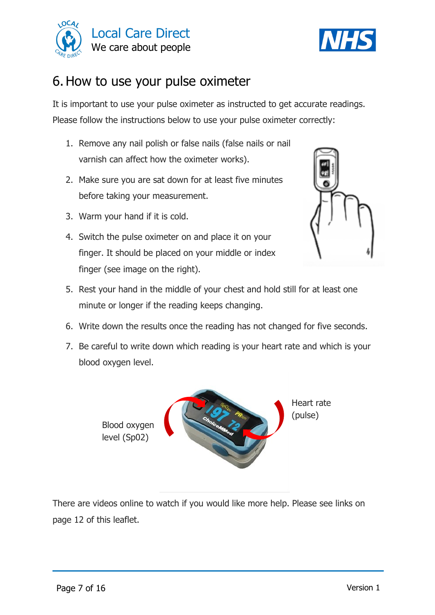



# <span id="page-6-0"></span>6.How to use your pulse oximeter

It is important to use your pulse oximeter as instructed to get accurate readings. Please follow the instructions below to use your pulse oximeter correctly:

- 1. Remove any nail polish or false nails (false nails or nail varnish can affect how the oximeter works).
- 2. Make sure you are sat down for at least five minutes before taking your measurement.
- 3. Warm your hand if it is cold.
- 4. Switch the pulse oximeter on and place it on your finger. It should be placed on your middle or index finger (see image on the right).



- 5. Rest your hand in the middle of your chest and hold still for at least one minute or longer if the reading keeps changing.
- 6. Write down the results once the reading has not changed for five seconds.
- 7. Be careful to write down which reading is your heart rate and which is your blood oxygen level.



There are videos online to watch if you would like more help. Please see links on page 12 of this leaflet.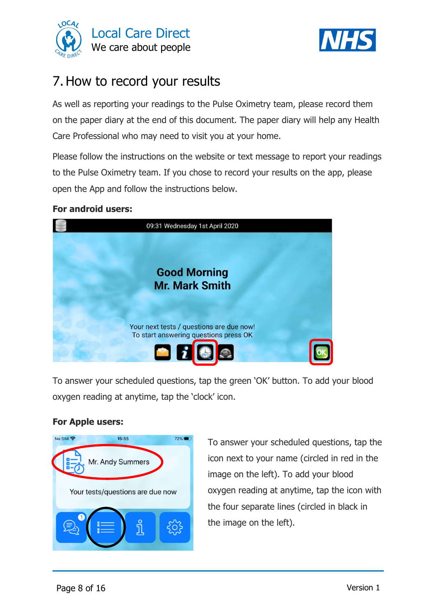



# <span id="page-7-0"></span>7.How to record your results

As well as reporting your readings to the Pulse Oximetry team, please record them on the paper diary at the end of this document. The paper diary will help any Health Care Professional who may need to visit you at your home.

Please follow the instructions on the website or text message to report your readings to the Pulse Oximetry team. If you chose to record your results on the app, please open the App and follow the instructions below.

#### **For android users:**



To answer your scheduled questions, tap the green 'OK' button. To add your blood oxygen reading at anytime, tap the 'clock' icon.

#### **For Apple users:**



To answer your scheduled questions, tap the icon next to your name (circled in red in the image on the left). To add your blood oxygen reading at anytime, tap the icon with the four separate lines (circled in black in the image on the left).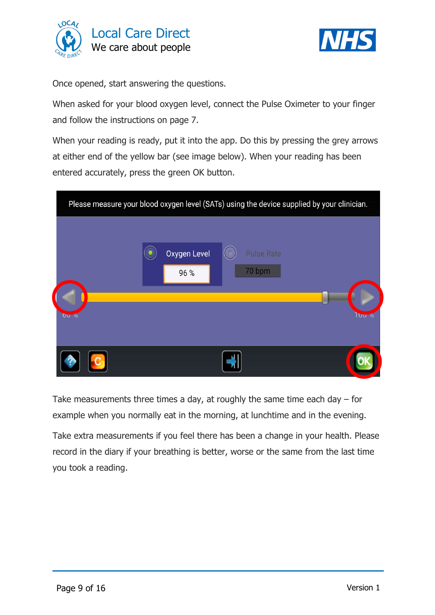



Once opened, start answering the questions.

When asked for your blood oxygen level, connect the Pulse Oximeter to your finger and follow the instructions on page 7.

When your reading is ready, put it into the app. Do this by pressing the grey arrows at either end of the yellow bar (see image below). When your reading has been entered accurately, press the green OK button.

|          |                             | Please measure your blood oxygen level (SATs) using the device supplied by your clinician. |                 |
|----------|-----------------------------|--------------------------------------------------------------------------------------------|-----------------|
|          | <b>Oxygen Level</b><br>96 % | <b>Pulse Rate</b><br>70 bpm                                                                |                 |
| $0\nu$ % |                             |                                                                                            | $UU$ / $\alpha$ |
|          |                             |                                                                                            |                 |

Take measurements three times a day, at roughly the same time each day  $-$  for example when you normally eat in the morning, at lunchtime and in the evening.

Take extra measurements if you feel there has been a change in your health. Please record in the diary if your breathing is better, worse or the same from the last time you took a reading.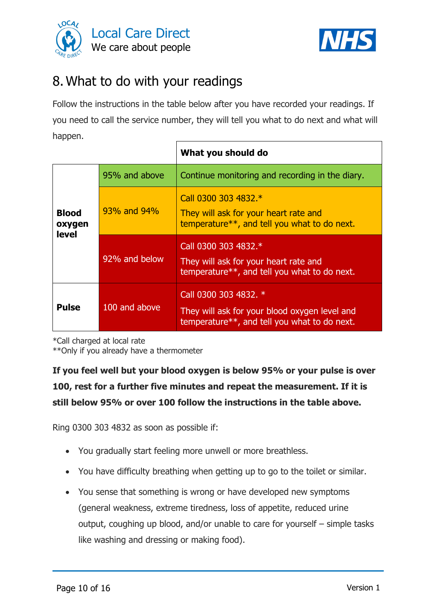



# <span id="page-9-0"></span>8.What to do with your readings

Follow the instructions in the table below after you have recorded your readings. If you need to call the service number, they will tell you what to do next and what will happen.

|                                        |               | What you should do                                                                                                     |  |  |
|----------------------------------------|---------------|------------------------------------------------------------------------------------------------------------------------|--|--|
|                                        | 95% and above | Continue monitoring and recording in the diary.                                                                        |  |  |
| <b>Blood</b><br>oxygen<br><b>level</b> | 93% and 94%   | Call 0300 303 4832.*<br>They will ask for your heart rate and<br>temperature**, and tell you what to do next.          |  |  |
|                                        | 92% and below | Call 0300 303 4832.*<br>They will ask for your heart rate and<br>temperature**, and tell you what to do next.          |  |  |
| <b>Pulse</b>                           | 100 and above | Call 0300 303 4832. *<br>They will ask for your blood oxygen level and<br>temperature**, and tell you what to do next. |  |  |

\*Call charged at local rate

\*\*Only if you already have a thermometer

**If you feel well but your blood oxygen is below 95% or your pulse is over 100, rest for a further five minutes and repeat the measurement. If it is still below 95% or over 100 follow the instructions in the table above.**

Ring 0300 303 4832 as soon as possible if:

- You gradually start feeling more unwell or more breathless.
- You have difficulty breathing when getting up to go to the toilet or similar.
- You sense that something is wrong or have developed new symptoms (general weakness, extreme tiredness, loss of appetite, reduced urine output, coughing up blood, and/or unable to care for yourself – simple tasks like washing and dressing or making food).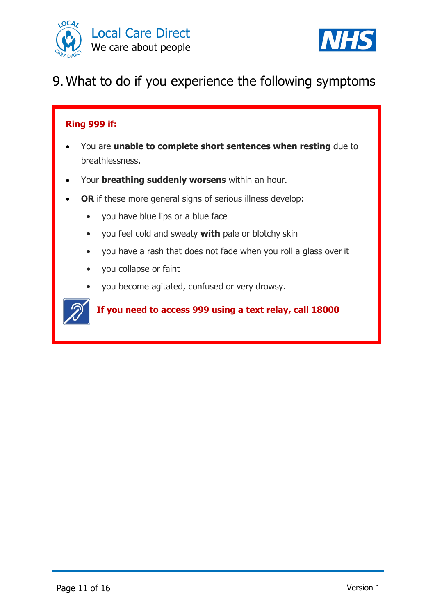



# <span id="page-10-0"></span>9.What to do if you experience the following symptoms

#### **Ring 999 if:**

- You are **unable to complete short sentences when resting** due to breathlessness.
- Your **breathing suddenly worsens** within an hour.
- **OR** if these more general signs of serious illness develop:
	- you have blue lips or a blue face
	- you feel cold and sweaty **with** pale or blotchy skin
	- you have a rash that does not fade when you roll a glass over it
	- you collapse or faint
	- you become agitated, confused or very drowsy.



#### **If you need to access 999 using a text relay, call 18000**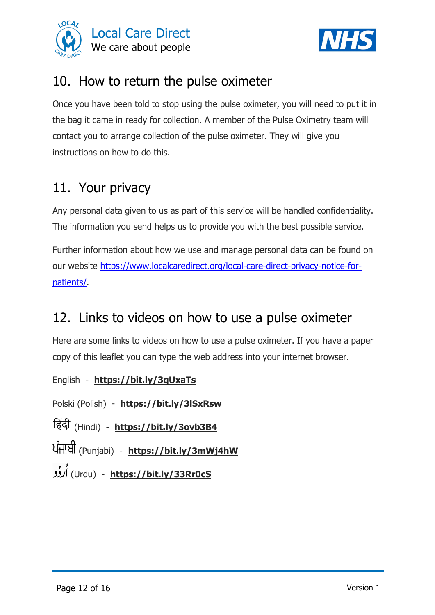



### <span id="page-11-0"></span>10. How to return the pulse oximeter

Once you have been told to stop using the pulse oximeter, you will need to put it in the bag it came in ready for collection. A member of the Pulse Oximetry team will contact you to arrange collection of the pulse oximeter. They will give you instructions on how to do this.

### <span id="page-11-1"></span>11. Your privacy

Any personal data given to us as part of this service will be handled confidentiality. The information you send helps us to provide you with the best possible service.

Further information about how we use and manage personal data can be found on our website [https://www.localcaredirect.org/local-care-direct-privacy-notice-for](https://www.localcaredirect.org/local-care-direct-privacy-notice-for-patients/)[patients/.](https://www.localcaredirect.org/local-care-direct-privacy-notice-for-patients/)

# <span id="page-11-2"></span>12. Links to videos on how to use a pulse oximeter

Here are some links to videos on how to use a pulse oximeter. If you have a paper copy of this leaflet you can type the web address into your internet browser.

English - **<https://bit.ly/3qUxaTs>**

Polski (Polish) - **<https://bit.ly/3lSxRsw>**

(Hindi) - **<https://bit.ly/3ovb3B4>**

(Punjabi) - **<https://bit.ly/3mWj4hW>**

(Urdu) - **<https://bit.ly/33Rr0cS>**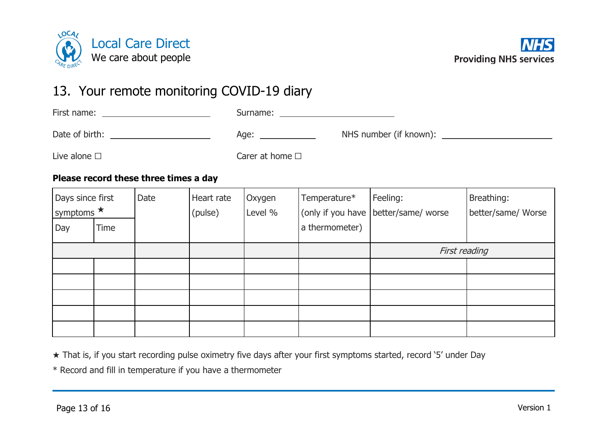



### 13. Your remote monitoring COVID-19 diary

| First name:          | Surname:                |                             |  |
|----------------------|-------------------------|-----------------------------|--|
| Date of birth:       | Age:                    | NHS number (if known): ____ |  |
| Live alone $\square$ | Carer at home $\square$ |                             |  |

#### **Please record these three times a day**

<span id="page-12-0"></span>

| Days since first<br>symptoms * |             | Date | Heart rate<br>(pulse) | Oxygen<br>Level % | Temperature*   | Feeling:<br>(only if you have better/same/ worse | Breathing:<br>better/same/ Worse |
|--------------------------------|-------------|------|-----------------------|-------------------|----------------|--------------------------------------------------|----------------------------------|
| Day                            | <b>Time</b> |      |                       |                   | a thermometer) |                                                  |                                  |
|                                |             |      |                       |                   |                | First reading                                    |                                  |
|                                |             |      |                       |                   |                |                                                  |                                  |
|                                |             |      |                       |                   |                |                                                  |                                  |
|                                |             |      |                       |                   |                |                                                  |                                  |
|                                |             |      |                       |                   |                |                                                  |                                  |
|                                |             |      |                       |                   |                |                                                  |                                  |

★ That is, if you start recording pulse oximetry five days after your first symptoms started, record '5' under Day

\* Record and fill in temperature if you have a thermometer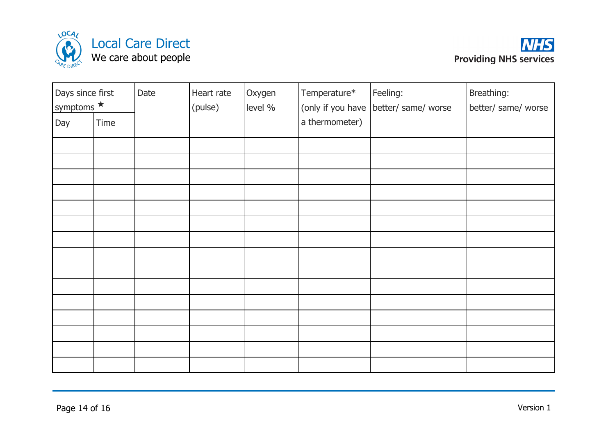



| Days since first<br>symptoms * |      | Date | Heart rate<br>(pulse) | Oxygen<br>level % | Temperature*   | Feeling:<br>(only if you have better/ same/ worse | Breathing:<br>better/ same/ worse |
|--------------------------------|------|------|-----------------------|-------------------|----------------|---------------------------------------------------|-----------------------------------|
| Day                            | Time |      |                       |                   | a thermometer) |                                                   |                                   |
|                                |      |      |                       |                   |                |                                                   |                                   |
|                                |      |      |                       |                   |                |                                                   |                                   |
|                                |      |      |                       |                   |                |                                                   |                                   |
|                                |      |      |                       |                   |                |                                                   |                                   |
|                                |      |      |                       |                   |                |                                                   |                                   |
|                                |      |      |                       |                   |                |                                                   |                                   |
|                                |      |      |                       |                   |                |                                                   |                                   |
|                                |      |      |                       |                   |                |                                                   |                                   |
|                                |      |      |                       |                   |                |                                                   |                                   |
|                                |      |      |                       |                   |                |                                                   |                                   |
|                                |      |      |                       |                   |                |                                                   |                                   |
|                                |      |      |                       |                   |                |                                                   |                                   |
|                                |      |      |                       |                   |                |                                                   |                                   |
|                                |      |      |                       |                   |                |                                                   |                                   |
|                                |      |      |                       |                   |                |                                                   |                                   |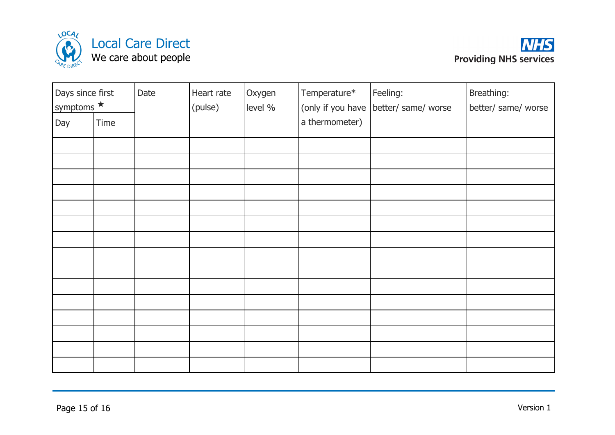



| Days since first<br>symptoms * |      | Date | Heart rate<br>(pulse) | Oxygen<br>level % | Temperature*<br>(only if you have | Feeling:<br>better/ same/ worse | Breathing:<br>better/ same/ worse |
|--------------------------------|------|------|-----------------------|-------------------|-----------------------------------|---------------------------------|-----------------------------------|
| Day                            | Time |      |                       |                   | a thermometer)                    |                                 |                                   |
|                                |      |      |                       |                   |                                   |                                 |                                   |
|                                |      |      |                       |                   |                                   |                                 |                                   |
|                                |      |      |                       |                   |                                   |                                 |                                   |
|                                |      |      |                       |                   |                                   |                                 |                                   |
|                                |      |      |                       |                   |                                   |                                 |                                   |
|                                |      |      |                       |                   |                                   |                                 |                                   |
|                                |      |      |                       |                   |                                   |                                 |                                   |
|                                |      |      |                       |                   |                                   |                                 |                                   |
|                                |      |      |                       |                   |                                   |                                 |                                   |
|                                |      |      |                       |                   |                                   |                                 |                                   |
|                                |      |      |                       |                   |                                   |                                 |                                   |
|                                |      |      |                       |                   |                                   |                                 |                                   |
|                                |      |      |                       |                   |                                   |                                 |                                   |
|                                |      |      |                       |                   |                                   |                                 |                                   |
|                                |      |      |                       |                   |                                   |                                 |                                   |